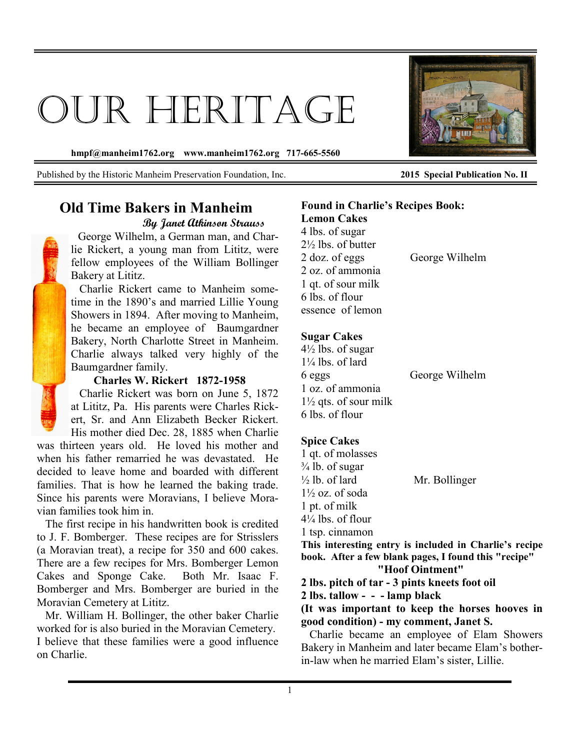# OUR HERITAGE

**hmpf@manheim1762.org www.manheim1762.org 717-665-5560** 

Published by the Historic Manheim Preservation Foundation, Inc. **2015 Special Publication No. II**

## **Old Time Bakers in Manheim By Janet Atkinson Strauss**

 George Wilhelm, a German man, and Charlie Rickert, a young man from Lititz, were fellow employees of the William Bollinger Bakery at Lititz.

 Charlie Rickert came to Manheim sometime in the 1890's and married Lillie Young Showers in 1894. After moving to Manheim, he became an employee of Baumgardner Bakery, North Charlotte Street in Manheim. Charlie always talked very highly of the Baumgardner family.

#### **Charles W. Rickert 1872-1958**

 Charlie Rickert was born on June 5, 1872 at Lititz, Pa. His parents were Charles Rickert, Sr. and Ann Elizabeth Becker Rickert. His mother died Dec. 28, 1885 when Charlie

was thirteen years old. He loved his mother and when his father remarried he was devastated. He decided to leave home and boarded with different families. That is how he learned the baking trade. Since his parents were Moravians, I believe Moravian families took him in.

 The first recipe in his handwritten book is credited to J. F. Bomberger. These recipes are for Strisslers (a Moravian treat), a recipe for 350 and 600 cakes. There are a few recipes for Mrs. Bomberger Lemon Cakes and Sponge Cake. Both Mr. Isaac F. Bomberger and Mrs. Bomberger are buried in the Moravian Cemetery at Lititz.

 Mr. William H. Bollinger, the other baker Charlie worked for is also buried in the Moravian Cemetery. I believe that these families were a good influence on Charlie.

#### **Found in Charlie's Recipes Book: Lemon Cakes**

4 lbs. of sugar 2½ lbs. of butter 2 doz. of eggs George Wilhelm 2 oz. of ammonia 1 qt. of sour milk 6 lbs. of flour essence of lemon

### **Sugar Cakes**

 $4\frac{1}{2}$  lbs. of sugar  $1\frac{1}{4}$  lbs. of lard 6 eggs George Wilhelm 1 oz. of ammonia  $1\frac{1}{2}$  qts. of sour milk 6 lbs. of flour

## **Spice Cakes**

1 qt. of molasses  $\frac{3}{4}$  lb. of sugar  $\frac{1}{2}$  lb. of lard Mr. Bollinger  $1\frac{1}{2}$  oz. of soda 1 pt. of milk  $4\frac{1}{4}$  lbs. of flour 1 tsp. cinnamon **This interesting entry is included in Charlie's recipe** 

**book. After a few blank pages, I found this "recipe" "Hoof Ointment"** 

**2 lbs. pitch of tar - 3 pints kneets foot oil** 

**2 lbs. tallow - - - lamp black** 

**(It was important to keep the horses hooves in good condition) - my comment, Janet S.** 

Charlie became an employee of Elam Showers Bakery in Manheim and later became Elam's botherin-law when he married Elam's sister, Lillie.